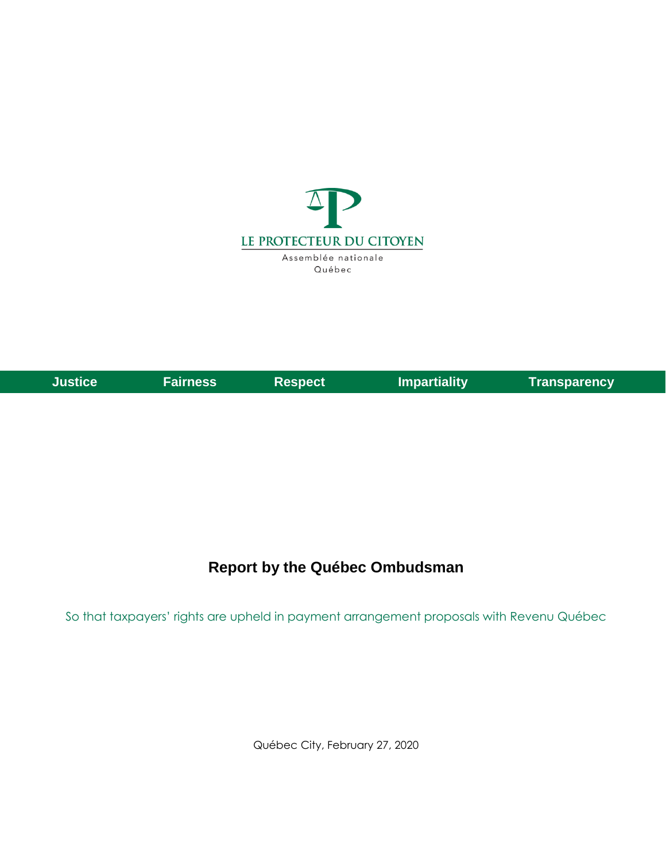

| Justice <b>A</b> | <b>Fairness</b> | ∣Respect <sup>∣</sup> | <b>Impartiality</b> | <b>Transparency</b> |
|------------------|-----------------|-----------------------|---------------------|---------------------|

## **Report by the Québec Ombudsman**

So that taxpayers' rights are upheld in payment arrangement proposals with Revenu Québec

Québec City, February 27, 2020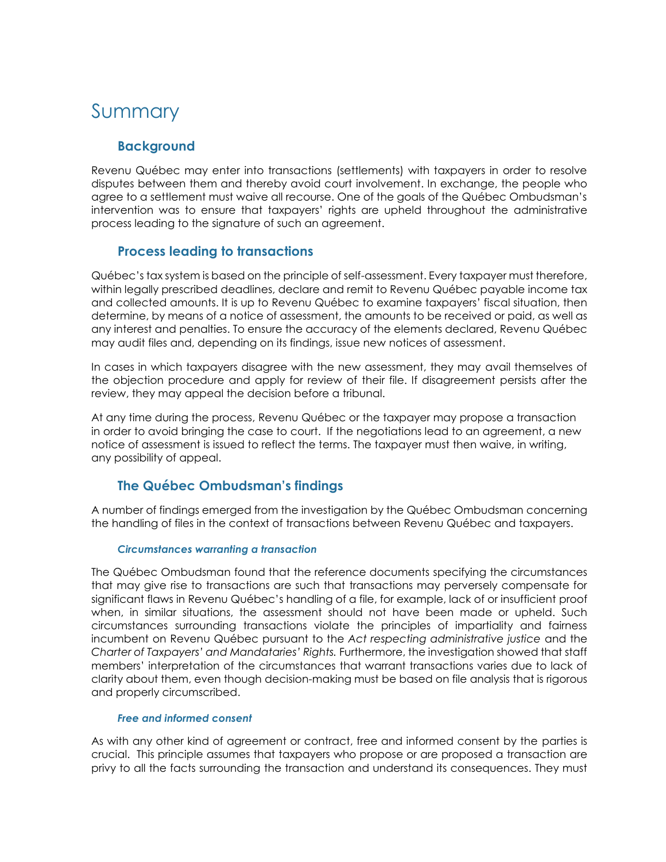# Summary

## **Background**

Revenu Québec may enter into transactions (settlements) with taxpayers in order to resolve disputes between them and thereby avoid court involvement. In exchange, the people who agree to a settlement must waive all recourse. One of the goals of the Québec Ombudsman's intervention was to ensure that taxpayers' rights are upheld throughout the administrative process leading to the signature of such an agreement.

## **Process leading to transactions**

Québec's tax system is based on the principle of self-assessment. Every taxpayer must therefore, within legally prescribed deadlines, declare and remit to Revenu Québec payable income tax and collected amounts. It is up to Revenu Québec to examine taxpayers' fiscal situation, then determine, by means of a notice of assessment, the amounts to be received or paid, as well as any interest and penalties. To ensure the accuracy of the elements declared, Revenu Québec may audit files and, depending on its findings, issue new notices of assessment.

In cases in which taxpayers disagree with the new assessment, they may avail themselves of the objection procedure and apply for review of their file. If disagreement persists after the review, they may appeal the decision before a tribunal.

At any time during the process, Revenu Québec or the taxpayer may propose a transaction in order to avoid bringing the case to court. If the negotiations lead to an agreement, a new notice of assessment is issued to reflect the terms. The taxpayer must then waive, in writing, any possibility of appeal.

## **The Québec Ombudsman's findings**

A number of findings emerged from the investigation by the Québec Ombudsman concerning the handling of files in the context of transactions between Revenu Québec and taxpayers.

#### *Circumstances warranting a transaction*

The Québec Ombudsman found that the reference documents specifying the circumstances that may give rise to transactions are such that transactions may perversely compensate for significant flaws in Revenu Québec's handling of a file, for example, lack of or insufficient proof when, in similar situations, the assessment should not have been made or upheld. Such circumstances surrounding transactions violate the principles of impartiality and fairness incumbent on Revenu Québec pursuant to the *Act respecting administrative justice* and the *Charter of Taxpayers' and Mandataries' Rights.* Furthermore, the investigation showed that staff members' interpretation of the circumstances that warrant transactions varies due to lack of clarity about them, even though decision-making must be based on file analysis that is rigorous and properly circumscribed.

#### *Free and informed consent*

As with any other kind of agreement or contract, free and informed consent by the parties is crucial. This principle assumes that taxpayers who propose or are proposed a transaction are privy to all the facts surrounding the transaction and understand its consequences. They must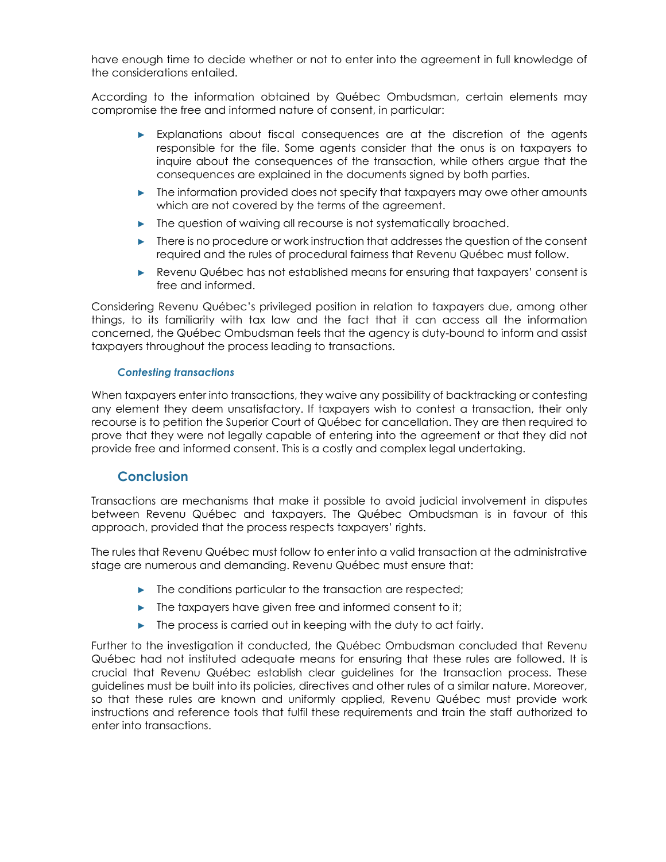have enough time to decide whether or not to enter into the agreement in full knowledge of the considerations entailed.

According to the information obtained by Québec Ombudsman, certain elements may compromise the free and informed nature of consent, in particular:

- ► Explanations about fiscal consequences are at the discretion of the agents responsible for the file. Some agents consider that the onus is on taxpayers to inquire about the consequences of the transaction, while others argue that the consequences are explained in the documents signed by both parties.
- ► The information provided does not specify that taxpayers may owe other amounts which are not covered by the terms of the agreement.
- ► The question of waiving all recourse is not systematically broached.
- ► There is no procedure or work instruction that addresses the question of the consent required and the rules of procedural fairness that Revenu Québec must follow.
- ► Revenu Québec has not established means for ensuring that taxpayers' consent is free and informed.

Considering Revenu Québec's privileged position in relation to taxpayers due, among other things, to its familiarity with tax law and the fact that it can access all the information concerned, the Québec Ombudsman feels that the agency is duty-bound to inform and assist taxpayers throughout the process leading to transactions.

#### *Contesting transactions*

When taxpayers enter into transactions, they waive any possibility of backtracking or contesting any element they deem unsatisfactory. If taxpayers wish to contest a transaction, their only recourse is to petition the Superior Court of Québec for cancellation. They are then required to prove that they were not legally capable of entering into the agreement or that they did not provide free and informed consent. This is a costly and complex legal undertaking.

#### **Conclusion**

Transactions are mechanisms that make it possible to avoid judicial involvement in disputes between Revenu Québec and taxpayers. The Québec Ombudsman is in favour of this approach, provided that the process respects taxpayers' rights.

The rules that Revenu Québec must follow to enter into a valid transaction at the administrative stage are numerous and demanding. Revenu Québec must ensure that:

- ► The conditions particular to the transaction are respected;
- ► The taxpayers have given free and informed consent to it;
- ► The process is carried out in keeping with the duty to act fairly.

Further to the investigation it conducted, the Québec Ombudsman concluded that Revenu Québec had not instituted adequate means for ensuring that these rules are followed. It is crucial that Revenu Québec establish clear guidelines for the transaction process. These guidelines must be built into its policies, directives and other rules of a similar nature. Moreover, so that these rules are known and uniformly applied, Revenu Québec must provide work instructions and reference tools that fulfil these requirements and train the staff authorized to enter into transactions.